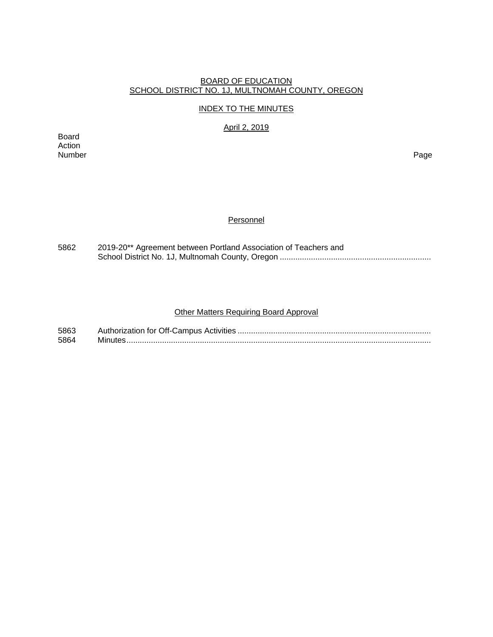### BOARD OF EDUCATION SCHOOL DISTRICT NO. 1J, MULTNOMAH COUNTY, OREGON

### INDEX TO THE MINUTES

April 2, 2019

Board Action Number Page

## **Personnel**

| 5862 | 2019-20** Agreement between Portland Association of Teachers and |  |  |  |  |
|------|------------------------------------------------------------------|--|--|--|--|
|      |                                                                  |  |  |  |  |

# Other Matters Requiring Board Approval

| 5863 |  |
|------|--|
| 5864 |  |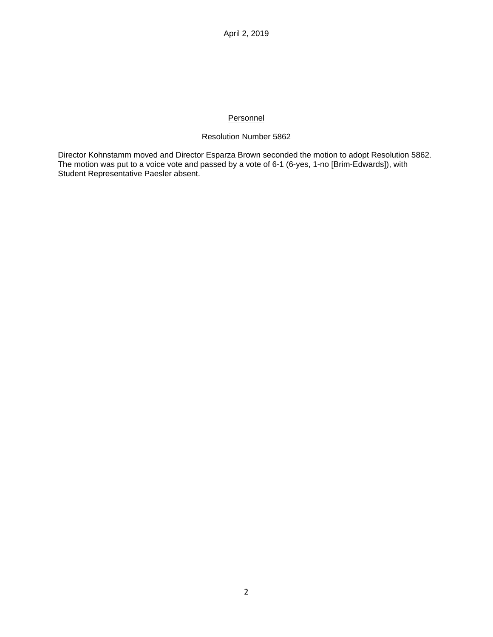## **Personnel**

## Resolution Number 5862

Director Kohnstamm moved and Director Esparza Brown seconded the motion to adopt Resolution 5862. The motion was put to a voice vote and passed by a vote of 6-1 (6-yes, 1-no [Brim-Edwards]), with Student Representative Paesler absent.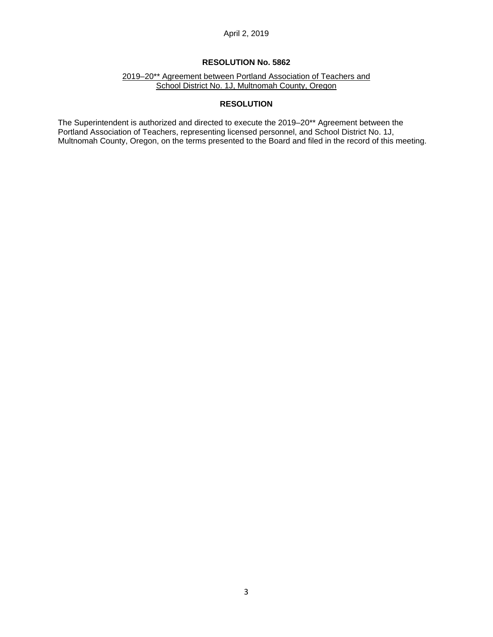## April 2, 2019

### **RESOLUTION No. 5862**

2019–20\*\* Agreement between Portland Association of Teachers and School District No. 1J, Multnomah County, Oregon

## **RESOLUTION**

The Superintendent is authorized and directed to execute the 2019–20\*\* Agreement between the Portland Association of Teachers, representing licensed personnel, and School District No. 1J, Multnomah County, Oregon, on the terms presented to the Board and filed in the record of this meeting.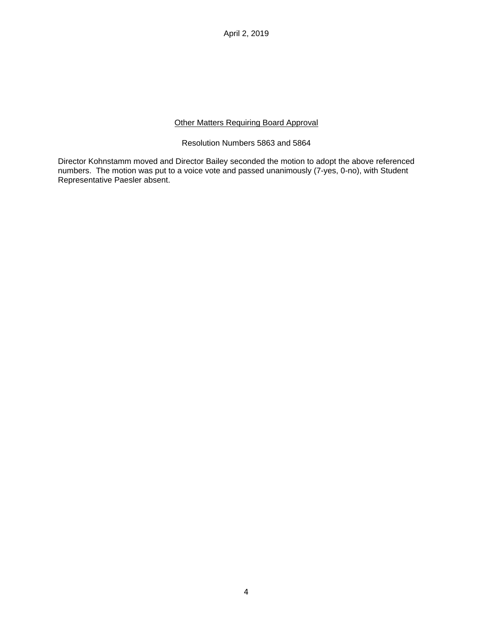April 2, 2019

## Other Matters Requiring Board Approval

### Resolution Numbers 5863 and 5864

Director Kohnstamm moved and Director Bailey seconded the motion to adopt the above referenced numbers. The motion was put to a voice vote and passed unanimously (7-yes, 0-no), with Student Representative Paesler absent.